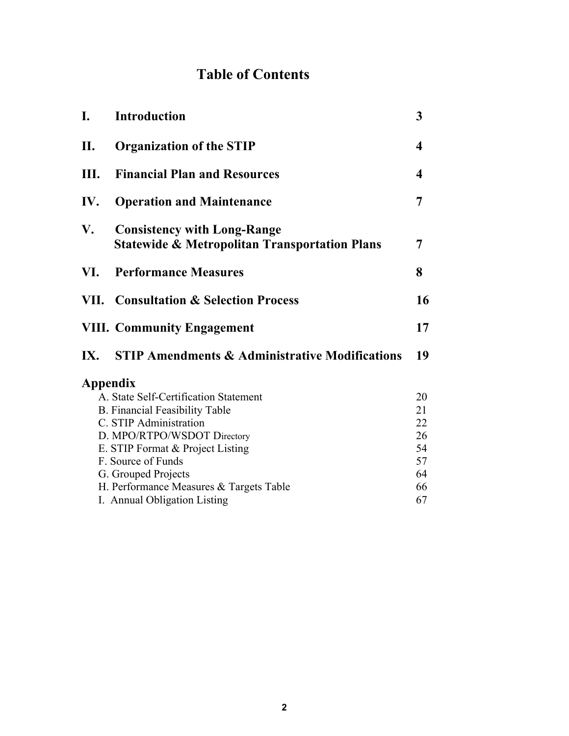# **Table of Contents**

| I.                                    | <b>Introduction</b>                                                                            | 3  |  |  |  |
|---------------------------------------|------------------------------------------------------------------------------------------------|----|--|--|--|
| II.                                   | <b>Organization of the STIP</b>                                                                | 4  |  |  |  |
| Ш.                                    | <b>Financial Plan and Resources</b>                                                            | 4  |  |  |  |
| IV.                                   | <b>Operation and Maintenance</b>                                                               | 7  |  |  |  |
| V.                                    | <b>Consistency with Long-Range</b><br><b>Statewide &amp; Metropolitan Transportation Plans</b> |    |  |  |  |
| VI.                                   | <b>Performance Measures</b>                                                                    | 8  |  |  |  |
|                                       | <b>VII. Consultation &amp; Selection Process</b>                                               | 16 |  |  |  |
|                                       | <b>VIII. Community Engagement</b>                                                              | 17 |  |  |  |
| IX.                                   | <b>STIP Amendments &amp; Administrative Modifications</b>                                      | 19 |  |  |  |
| Appendix                              |                                                                                                |    |  |  |  |
| A. State Self-Certification Statement | 20                                                                                             |    |  |  |  |
|                                       | <b>B.</b> Financial Feasibility Table                                                          | 21 |  |  |  |
| C. STIP Administration                | 22                                                                                             |    |  |  |  |
| D. MPO/RTPO/WSDOT Directory           | 26                                                                                             |    |  |  |  |
| E. STIP Format & Project Listing      | 54<br>57                                                                                       |    |  |  |  |
| F. Source of Funds                    |                                                                                                |    |  |  |  |
|                                       | G. Grouped Projects                                                                            | 64 |  |  |  |
|                                       | H. Performance Measures & Targets Table                                                        | 66 |  |  |  |
|                                       | I. Annual Obligation Listing                                                                   | 67 |  |  |  |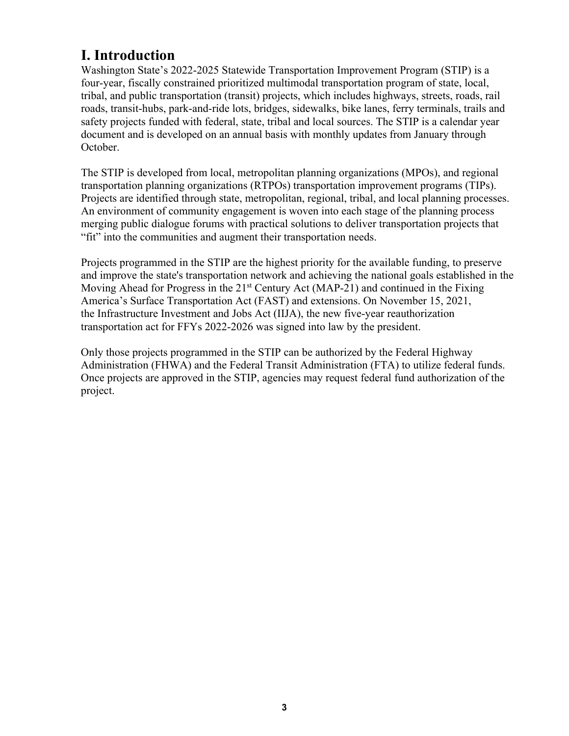## **I. Introduction**

Washington State's 2022-2025 Statewide Transportation Improvement Program (STIP) is a four-year, fiscally constrained prioritized multimodal transportation program of state, local, tribal, and public transportation (transit) projects, which includes highways, streets, roads, rail roads, transit-hubs, park-and-ride lots, bridges, sidewalks, bike lanes, ferry terminals, trails and safety projects funded with federal, state, tribal and local sources. The STIP is a calendar year document and is developed on an annual basis with monthly updates from January through October.

The STIP is developed from local, metropolitan planning organizations (MPOs), and regional transportation planning organizations (RTPOs) transportation improvement programs (TIPs). Projects are identified through state, metropolitan, regional, tribal, and local planning processes. An environment of community engagement is woven into each stage of the planning process merging public dialogue forums with practical solutions to deliver transportation projects that "fit" into the communities and augment their transportation needs.

Projects programmed in the STIP are the highest priority for the available funding, to preserve and improve the state's transportation network and achieving the national goals established in the Moving Ahead for Progress in the  $21<sup>st</sup>$  Century Act (MAP-21) and continued in the Fixing America's Surface Transportation Act (FAST) and extensions. On November 15, 2021, the Infrastructure Investment and Jobs Act (IIJA), the new five-year reauthorization transportation act for FFYs 2022-2026 was signed into law by the president.

Only those projects programmed in the STIP can be authorized by the Federal Highway Administration (FHWA) and the Federal Transit Administration (FTA) to utilize federal funds. Once projects are approved in the STIP, agencies may request federal fund authorization of the project.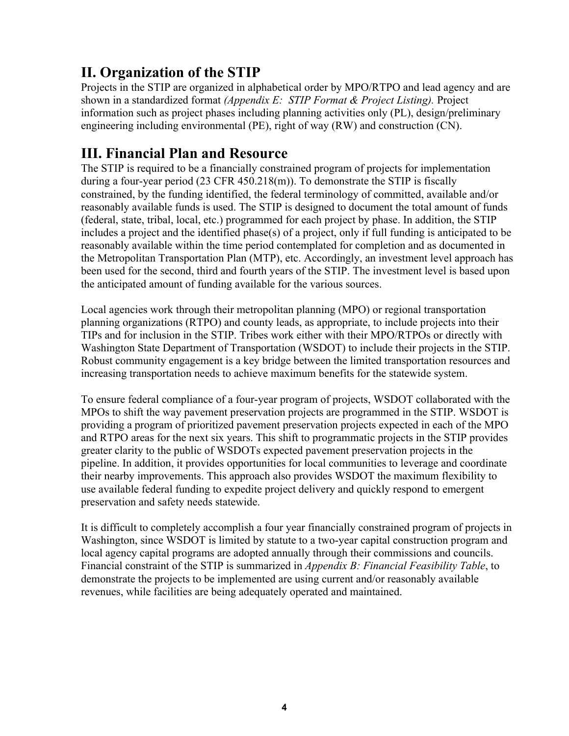# **II. Organization of the STIP**

Projects in the STIP are organized in alphabetical order by MPO/RTPO and lead agency and are shown in a standardized format *(Appendix E: STIP Format & Project Listing).* Project information such as project phases including planning activities only (PL), design/preliminary engineering including environmental (PE), right of way (RW) and construction (CN).

## **III. Financial Plan and Resource**

The STIP is required to be a financially constrained program of projects for implementation during a four-year period (23 CFR 450.218(m)). To demonstrate the STIP is fiscally constrained, by the funding identified, the federal terminology of committed, available and/or reasonably available funds is used. The STIP is designed to document the total amount of funds (federal, state, tribal, local, etc.) programmed for each project by phase. In addition, the STIP includes a project and the identified phase(s) of a project, only if full funding is anticipated to be reasonably available within the time period contemplated for completion and as documented in the Metropolitan Transportation Plan (MTP), etc. Accordingly, an investment level approach has been used for the second, third and fourth years of the STIP. The investment level is based upon the anticipated amount of funding available for the various sources.

Local agencies work through their metropolitan planning (MPO) or regional transportation planning organizations (RTPO) and county leads, as appropriate, to include projects into their TIPs and for inclusion in the STIP. Tribes work either with their MPO/RTPOs or directly with Washington State Department of Transportation (WSDOT) to include their projects in the STIP. Robust community engagement is a key bridge between the limited transportation resources and increasing transportation needs to achieve maximum benefits for the statewide system.

To ensure federal compliance of a four-year program of projects, WSDOT collaborated with the MPOs to shift the way pavement preservation projects are programmed in the STIP. WSDOT is providing a program of prioritized pavement preservation projects expected in each of the MPO and RTPO areas for the next six years. This shift to programmatic projects in the STIP provides greater clarity to the public of WSDOTs expected pavement preservation projects in the pipeline. In addition, it provides opportunities for local communities to leverage and coordinate their nearby improvements. This approach also provides WSDOT the maximum flexibility to use available federal funding to expedite project delivery and quickly respond to emergent preservation and safety needs statewide.

It is difficult to completely accomplish a four year financially constrained program of projects in Washington, since WSDOT is limited by statute to a two-year capital construction program and local agency capital programs are adopted annually through their commissions and councils. Financial constraint of the STIP is summarized in *Appendix B: Financial Feasibility Table*, to demonstrate the projects to be implemented are using current and/or reasonably available revenues, while facilities are being adequately operated and maintained.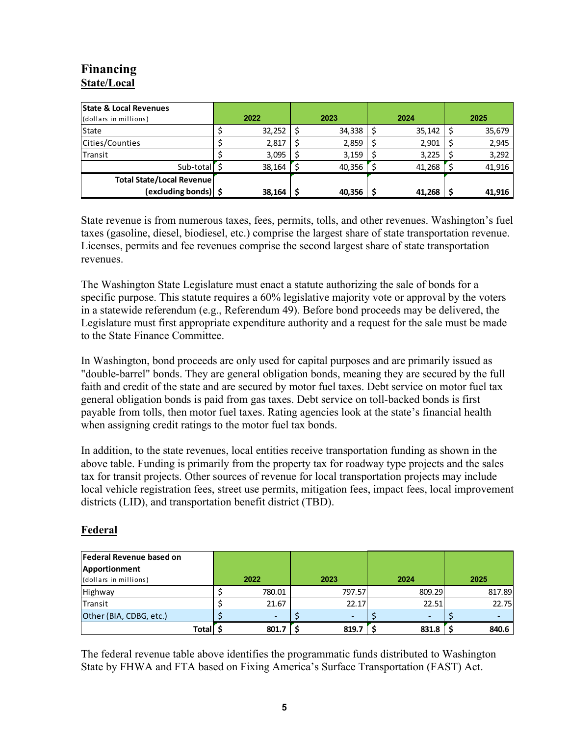## **Financing State/Local**

| <b>State &amp; Local Revenues</b><br>(dollars in millions) |  | 2022   | 2023   |   | 2024   | 2025   |
|------------------------------------------------------------|--|--------|--------|---|--------|--------|
| <b>State</b>                                               |  | 32,252 | 34,338 |   | 35,142 | 35,679 |
| Cities/Counties                                            |  | 2,817  | 2,859  | S | 2,901  | 2,945  |
| Transit                                                    |  | 3,095  | 3,159  |   | 3,225  | 3,292  |
| Sub-total S                                                |  | 38,164 | 40,356 |   | 41,268 | 41,916 |
| Total State/Local Revenue                                  |  |        |        |   |        |        |
| (excluding bonds) S                                        |  | 38,164 | 40,356 |   | 41,268 | 41,916 |

State revenue is from numerous taxes, fees, permits, tolls, and other revenues. Washington's fuel taxes (gasoline, diesel, biodiesel, etc.) comprise the largest share of state transportation revenue. Licenses, permits and fee revenues comprise the second largest share of state transportation revenues.

The Washington State Legislature must enact a statute authorizing the sale of bonds for a specific purpose. This statute requires a 60% legislative majority vote or approval by the voters in a statewide referendum (e.g., Referendum 49). Before bond proceeds may be delivered, the Legislature must first appropriate expenditure authority and a request for the sale must be made to the State Finance Committee.

In Washington, bond proceeds are only used for capital purposes and are primarily issued as "double-barrel" bonds. They are general obligation bonds, meaning they are secured by the full faith and credit of the state and are secured by motor fuel taxes. Debt service on motor fuel tax general obligation bonds is paid from gas taxes. Debt service on toll-backed bonds is first payable from tolls, then motor fuel taxes. Rating agencies look at the state's financial health when assigning credit ratings to the motor fuel tax bonds.

In addition, to the state revenues, local entities receive transportation funding as shown in the above table. Funding is primarily from the property tax for roadway type projects and the sales tax for transit projects. Other sources of revenue for local transportation projects may include local vehicle registration fees, street use permits, mitigation fees, impact fees, local improvement districts (LID), and transportation benefit district (TBD).

#### **Federal**

| Federal Revenue based on |  |        |        |        |        |
|--------------------------|--|--------|--------|--------|--------|
| Apportionment            |  |        |        |        |        |
| (dollars in millions)    |  | 2022   | 2023   | 2024   | 2025   |
| Highway                  |  | 780.01 | 797.57 | 809.29 | 817.89 |
| Transit                  |  | 21.67  | 22.17  | 22.51  | 22.75  |
| Other (BIA, CDBG, etc.)  |  |        |        |        |        |
| Totall                   |  | 801.7  | 819.7  | 831.8  | 840.6  |

The federal revenue table above identifies the programmatic funds distributed to Washington State by FHWA and FTA based on Fixing America's Surface Transportation (FAST) Act.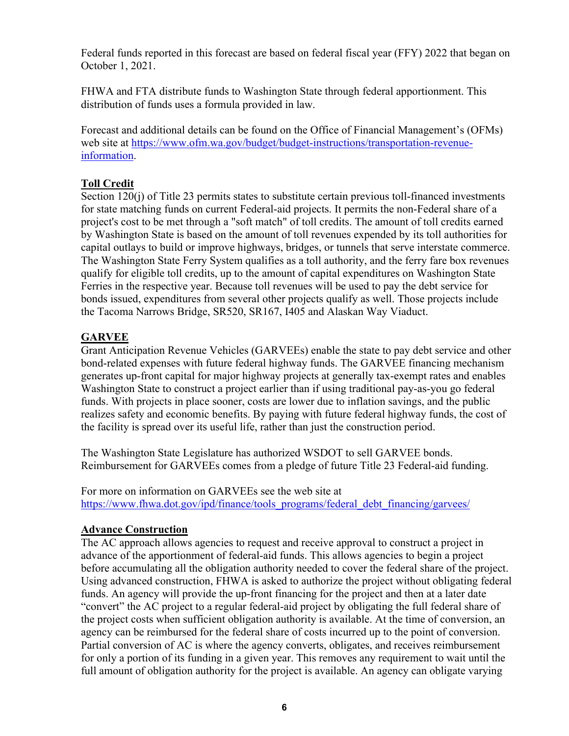Federal funds reported in this forecast are based on federal fiscal year (FFY) 2022 that began on October 1, 2021.

FHWA and FTA distribute funds to Washington State through federal apportionment. This distribution of funds uses a formula provided in law.

Forecast and additional details can be found on the Office of Financial Management's (OFMs) web site at<https://www.ofm.wa.gov/budget/budget-instructions/transportation-revenue>information.

### **Toll Credit**

Section 120(j) of Title 23 permits states to substitute certain previous toll-financed investments for state matching funds on current Federal-aid projects. It permits the non-Federal share of a project's cost to be met through a "soft match" of toll credits. The amount of toll credits earned by Washington State is based on the amount of toll revenues expended by its toll authorities for capital outlays to build or improve highways, bridges, or tunnels that serve interstate commerce. The Washington State Ferry System qualifies as a toll authority, and the ferry fare box revenues qualify for eligible toll credits, up to the amount of capital expenditures on Washington State Ferries in the respective year. Because toll revenues will be used to pay the debt service for bonds issued, expenditures from several other projects qualify as well. Those projects include the Tacoma Narrows Bridge, SR520, SR167, I405 and Alaskan Way Viaduct.

## **GARVEE**

Grant Anticipation Revenue Vehicles (GARVEEs) enable the state to pay debt service and other bond-related expenses with future federal highway funds. The GARVEE financing mechanism generates up-front capital for major highway projects at generally tax-exempt rates and enables Washington State to construct a project earlier than if using traditional pay-as-you go federal funds. With projects in place sooner, costs are lower due to inflation savings, and the public realizes safety and economic benefits. By paying with future federal highway funds, the cost of the facility is spread over its useful life, rather than just the construction period.

The Washington State Legislature has authorized WSDOT to sell GARVEE bonds. Reimbursement for GARVEEs comes from a pledge of future Title 23 Federal-aid funding.

[https://www.fhwa.dot.gov/ipd/finance/tools\\_programs/federal\\_debt\\_financing/garvees/](https://www.fhwa.dot.gov/ipd/finance/tools_programs/federal_debt_financing/garvees) For more on information on GARVEEs see the web site at

#### **Advance Construction**

The AC approach allows agencies to request and receive approval to construct a project in advance of the apportionment of federal-aid funds. This allows agencies to begin a project before accumulating all the obligation authority needed to cover the federal share of the project. Using advanced construction, FHWA is asked to authorize the project without obligating federal funds. An agency will provide the up-front financing for the project and then at a later date "convert" the AC project to a regular federal-aid project by obligating the full federal share of the project costs when sufficient obligation authority is available. At the time of conversion, an agency can be reimbursed for the federal share of costs incurred up to the point of conversion. Partial conversion of AC is where the agency converts, obligates, and receives reimbursement for only a portion of its funding in a given year. This removes any requirement to wait until the full amount of obligation authority for the project is available. An agency can obligate varying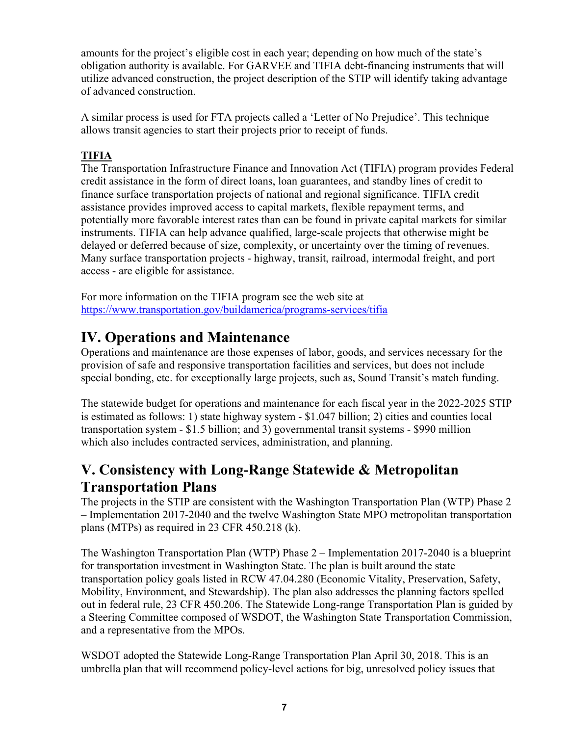amounts for the project's eligible cost in each year; depending on how much of the state's obligation authority is available. For GARVEE and TIFIA debt-financing instruments that will utilize advanced construction, the project description of the STIP will identify taking advantage of advanced construction.

A similar process is used for FTA projects called a 'Letter of No Prejudice'. This technique allows transit agencies to start their projects prior to receipt of funds.

## **TIFIA**

The Transportation Infrastructure Finance and Innovation Act (TIFIA) program provides Federal credit assistance in the form of direct loans, loan guarantees, and standby lines of credit to finance surface transportation projects of national and regional significance. TIFIA credit assistance provides improved access to capital markets, flexible repayment terms, and potentially more favorable interest rates than can be found in private capital markets for similar instruments. TIFIA can help advance qualified, large-scale projects that otherwise might be delayed or deferred because of size, complexity, or uncertainty over the timing of revenues. Many surface transportation projects - highway, transit, railroad, intermodal freight, and port access - are eligible for assistance.

 <https://www.transportation.gov/buildamerica/programs-services/tifia> For more information on the TIFIA program see the web site at

## **IV. Operations and Maintenance**

Operations and maintenance are those expenses of labor, goods, and services necessary for the provision of safe and responsive transportation facilities and services, but does not include special bonding, etc. for exceptionally large projects, such as, Sound Transit's match funding.

The statewide budget for operations and maintenance for each fiscal year in the 2022-2025 STIP is estimated as follows: 1) state highway system - \$1.047 billion; 2) cities and counties local transportation system - \$1.5 billion; and 3) governmental transit systems - \$990 million which also includes contracted services, administration, and planning.

## **V. Consistency with Long-Range Statewide & Metropolitan Transportation Plans**

The projects in the STIP are consistent with the Washington Transportation Plan (WTP) Phase 2 – Implementation 2017-2040 and the twelve Washington State MPO metropolitan transportation plans (MTPs) as required in 23 CFR 450.218 (k).

The Washington Transportation Plan (WTP) Phase 2 – Implementation 2017-2040 is a blueprint for transportation investment in Washington State. The plan is built around the state transportation policy goals listed in RCW 47.04.280 (Economic Vitality, Preservation, Safety, Mobility, Environment, and Stewardship). The plan also addresses the planning factors spelled out in federal rule, 23 CFR 450.206. The Statewide Long-range Transportation Plan is guided by a Steering Committee composed of WSDOT, the Washington State Transportation Commission, and a representative from the MPOs.

WSDOT adopted the Statewide Long-Range Transportation Plan April 30, 2018. This is an umbrella plan that will recommend policy-level actions for big, unresolved policy issues that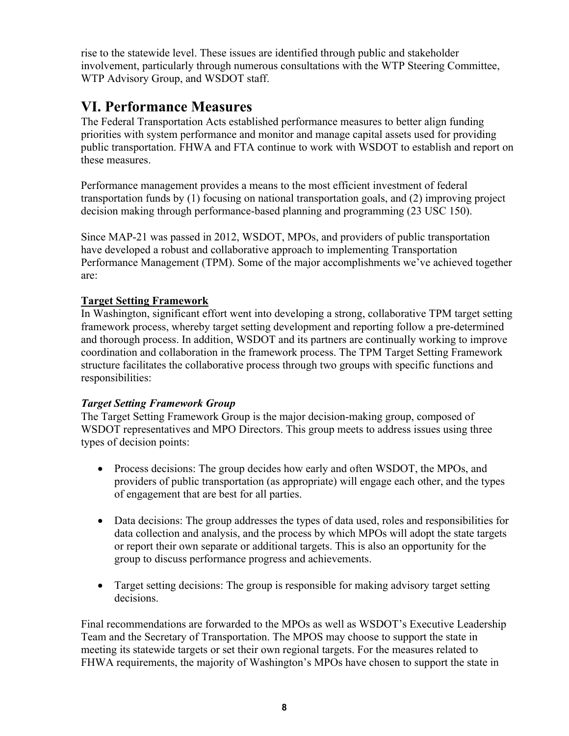rise to the statewide level. These issues are identified through public and stakeholder involvement, particularly through numerous consultations with the WTP Steering Committee, WTP Advisory Group, and WSDOT staff.

## **VI. Performance Measures**

The Federal Transportation Acts established performance measures to better align funding priorities with system performance and monitor and manage capital assets used for providing public transportation. FHWA and FTA continue to work with WSDOT to establish and report on these measures.

Performance management provides a means to the most efficient investment of federal transportation funds by (1) focusing on national transportation goals, and (2) improving project decision making through performance-based planning and programming (23 USC 150).

Since MAP-21 was passed in 2012, WSDOT, MPOs, and providers of public transportation have developed a robust and collaborative approach to implementing Transportation Performance Management (TPM). Some of the major accomplishments we've achieved together are:

### **Target Setting Framework**

In Washington, significant effort went into developing a strong, collaborative TPM target setting framework process, whereby target setting development and reporting follow a pre-determined and thorough process. In addition, WSDOT and its partners are continually working to improve coordination and collaboration in the framework process. The TPM Target Setting Framework structure facilitates the collaborative process through two groups with specific functions and responsibilities:

### *Target Setting Framework Group*

The Target Setting Framework Group is the major decision-making group, composed of WSDOT representatives and MPO Directors. This group meets to address issues using three types of decision points:

- Process decisions: The group decides how early and often WSDOT, the MPOs, and providers of public transportation (as appropriate) will engage each other, and the types of engagement that are best for all parties.
- Data decisions: The group addresses the types of data used, roles and responsibilities for data collection and analysis, and the process by which MPOs will adopt the state targets or report their own separate or additional targets. This is also an opportunity for the group to discuss performance progress and achievements.
- Target setting decisions: The group is responsible for making advisory target setting decisions.

Final recommendations are forwarded to the MPOs as well as WSDOT's Executive Leadership Team and the Secretary of Transportation. The MPOS may choose to support the state in meeting its statewide targets or set their own regional targets. For the measures related to FHWA requirements, the majority of Washington's MPOs have chosen to support the state in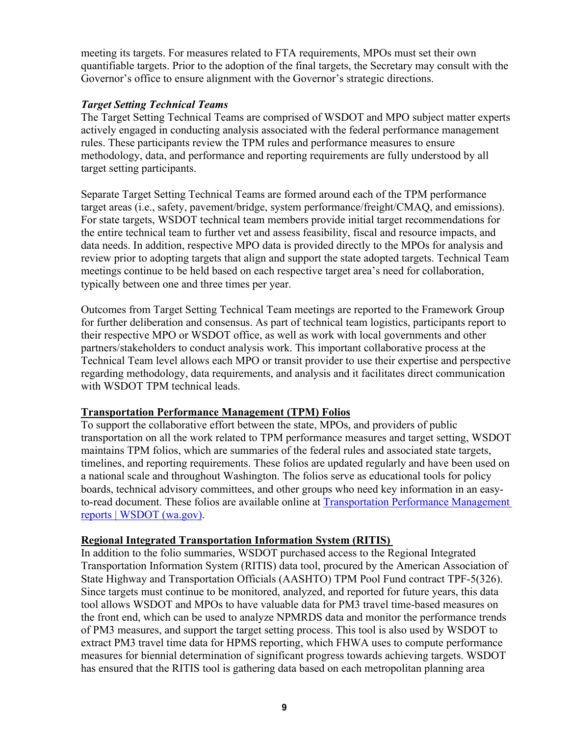meeting its targets. For measures related to FTA requirements, MPOs must set their own quantifiable targets. Prior to the adoption of the final targets, the Secretary may consult with the Governor's office to ensure alignment with the Governor's strategic directions.

#### *Target Setting Technical Teams*

The Target Setting Technical Teams are comprised of WSDOT and MPO subject matter experts actively engaged in conducting analysis associated with the federal performance management rules. These participants review the TPM rules and performance measures to ensure methodology, data, and performance and reporting requirements are fully understood by all target setting participants.

Separate Target Setting Technical Teams are formed around each of the TPM performance target areas (i.e., safety, pavement/bridge, system performance/freight/CMAQ, and emissions). For state targets, WSDOT technical team members provide initial target recommendations for the entire technical team to further vet and assess feasibility, fiscal and resource impacts, and data needs. In addition, respective MPO data is provided directly to the MPOs for analysis and review prior to adopting targets that align and support the state adopted targets. Technical Team meetings continue to be held based on each respective target area's need for collaboration, typically between one and three times per year.

Outcomes from Target Setting Technical Team meetings are reported to the Framework Group for further deliberation and consensus. As part of technical team logistics, participants report to their respective MPO or WSDOT office, as well as work with local governments and other partners/stakeholders to conduct analysis work. This important collaborative process at the Technical Team level allows each MPO or transit provider to use their expertise and perspective regarding methodology, data requirements, and analysis and it facilitates direct communication with WSDOT TPM technical leads.

#### **Transportation Performance Management (TPM) Folios**

To support the collaborative effort between the state, MPOs, and providers of public transportation on all the work related to TPM performance measures and target setting, WSDOT maintains TPM folios, which are summaries of the federal rules and associated state targets, timelines, and reporting requirements. These folios are updated regularly and have been used on a national scale and throughout Washington. The folios serve as educational tools for policy boards, technical advisory committees, and other groups who need key information in an easyto-read document. These folios are available online at Transportation Performance Management reports | WSDOT (wa.gov).

### **Regional Integrated Transportation Information System (RITIS)**

In addition to the folio summaries, WSDOT purchased access to the Regional Integrated Transportation Information System (RITIS) data tool, procured by the American Association of State Highway and Transportation Officials (AASHTO) TPM Pool Fund contract TPF-5(326). Since targets must continue to be monitored, analyzed, and reported for future years, this data tool allows WSDOT and MPOs to have valuable data for PM3 travel time-based measures on the front end, which can be used to analyze NPMRDS data and monitor the performance trends of PM3 measures, and support the target setting process. This tool is also used by WSDOT to extract PM3 travel time data for HPMS reporting, which FHWA uses to compute performance measures for biennial determination of significant progress towards achieving targets. WSDOT has ensured that the RITIS tool is gathering data based on each metropolitan planning area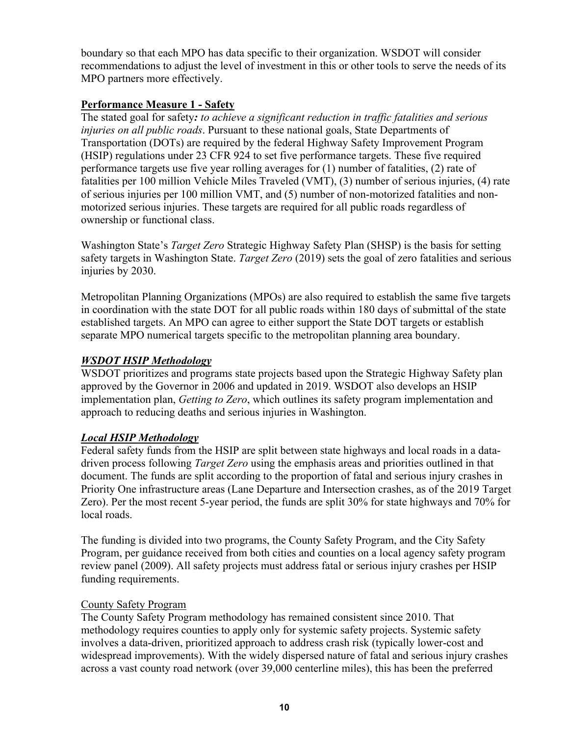boundary so that each MPO has data specific to their organization. WSDOT will consider recommendations to adjust the level of investment in this or other tools to serve the needs of its MPO partners more effectively.

#### **Performance Measure 1 - Safety**

The stated goal for safety*: to achieve a significant reduction in traffic fatalities and serious injuries on all public roads*. Pursuant to these national goals, State Departments of Transportation (DOTs) are required by the federal Highway Safety Improvement Program (HSIP) regulations under 23 CFR 924 to set five performance targets. These five required performance targets use five year rolling averages for (1) number of fatalities, (2) rate of fatalities per 100 million Vehicle Miles Traveled (VMT), (3) number of serious injuries, (4) rate of serious injuries per 100 million VMT, and (5) number of non-motorized fatalities and nonmotorized serious injuries. These targets are required for all public roads regardless of ownership or functional class.

Washington State's *Target Zero* Strategic Highway Safety Plan (SHSP) is the basis for setting safety targets in Washington State. *Target Zero* (2019) sets the goal of zero fatalities and serious injuries by 2030.

Metropolitan Planning Organizations (MPOs) are also required to establish the same five targets in coordination with the state DOT for all public roads within 180 days of submittal of the state established targets. An MPO can agree to either support the State DOT targets or establish separate MPO numerical targets specific to the metropolitan planning area boundary.

#### *WSDOT HSIP Methodology*

WSDOT prioritizes and programs state projects based upon the Strategic Highway Safety plan approved by the Governor in 2006 and updated in 2019. WSDOT also develops an HSIP implementation plan, *Getting to Zero*, which outlines its safety program implementation and approach to reducing deaths and serious injuries in Washington.

### *Local HSIP Methodology*

Federal safety funds from the HSIP are split between state highways and local roads in a datadriven process following *Target Zero* using the emphasis areas and priorities outlined in that document. The funds are split according to the proportion of fatal and serious injury crashes in Priority One infrastructure areas (Lane Departure and Intersection crashes, as of the 2019 Target Zero). Per the most recent 5-year period, the funds are split 30% for state highways and 70% for local roads.

The funding is divided into two programs, the County Safety Program, and the City Safety Program, per guidance received from both cities and counties on a local agency safety program review panel (2009). All safety projects must address fatal or serious injury crashes per HSIP funding requirements.

#### County Safety Program

The County Safety Program methodology has remained consistent since 2010. That methodology requires counties to apply only for systemic safety projects. Systemic safety involves a data-driven, prioritized approach to address crash risk (typically lower-cost and widespread improvements). With the widely dispersed nature of fatal and serious injury crashes across a vast county road network (over 39,000 centerline miles), this has been the preferred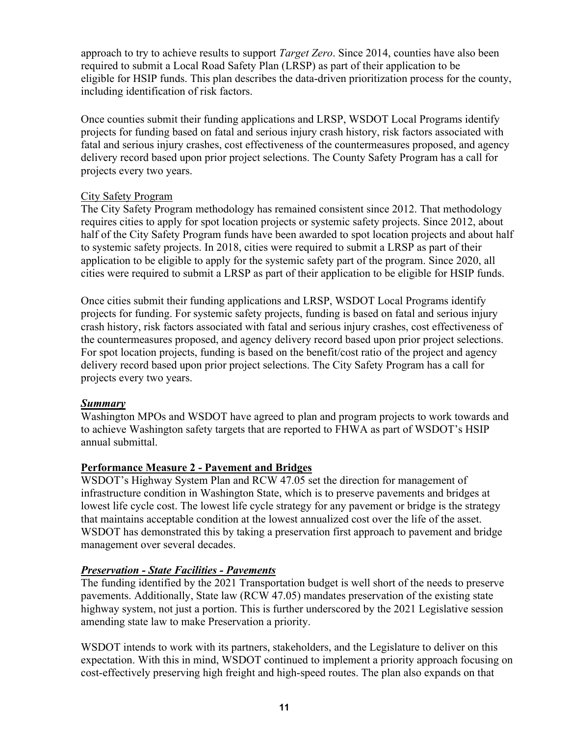approach to try to achieve results to support *Target Zero*. Since 2014, counties have also been required to submit a Local Road Safety Plan (LRSP) as part of their application to be eligible for HSIP funds. This plan describes the data-driven prioritization process for the county, including identification of risk factors.

Once counties submit their funding applications and LRSP, WSDOT Local Programs identify projects for funding based on fatal and serious injury crash history, risk factors associated with fatal and serious injury crashes, cost effectiveness of the countermeasures proposed, and agency delivery record based upon prior project selections. The County Safety Program has a call for projects every two years.

#### City Safety Program

The City Safety Program methodology has remained consistent since 2012. That methodology requires cities to apply for spot location projects or systemic safety projects. Since 2012, about half of the City Safety Program funds have been awarded to spot location projects and about half to systemic safety projects. In 2018, cities were required to submit a LRSP as part of their application to be eligible to apply for the systemic safety part of the program. Since 2020, all cities were required to submit a LRSP as part of their application to be eligible for HSIP funds.

Once cities submit their funding applications and LRSP, WSDOT Local Programs identify projects for funding. For systemic safety projects, funding is based on fatal and serious injury crash history, risk factors associated with fatal and serious injury crashes, cost effectiveness of the countermeasures proposed, and agency delivery record based upon prior project selections. For spot location projects, funding is based on the benefit/cost ratio of the project and agency delivery record based upon prior project selections. The City Safety Program has a call for projects every two years.

#### *Summary*

Washington MPOs and WSDOT have agreed to plan and program projects to work towards and to achieve Washington safety targets that are reported to FHWA as part of WSDOT's HSIP annual submittal.

#### **Performance Measure 2 - Pavement and Bridges**

WSDOT's Highway System Plan and RCW 47.05 set the direction for management of infrastructure condition in Washington State, which is to preserve pavements and bridges at lowest life cycle cost. The lowest life cycle strategy for any pavement or bridge is the strategy that maintains acceptable condition at the lowest annualized cost over the life of the asset. WSDOT has demonstrated this by taking a preservation first approach to pavement and bridge management over several decades.

#### *Preservation - State Facilities - Pavements*

The funding identified by the 2021 Transportation budget is well short of the needs to preserve pavements. Additionally, State law (RCW 47.05) mandates preservation of the existing state highway system, not just a portion. This is further underscored by the 2021 Legislative session amending state law to make Preservation a priority.

WSDOT intends to work with its partners, stakeholders, and the Legislature to deliver on this expectation. With this in mind, WSDOT continued to implement a priority approach focusing on cost-effectively preserving high freight and high-speed routes. The plan also expands on that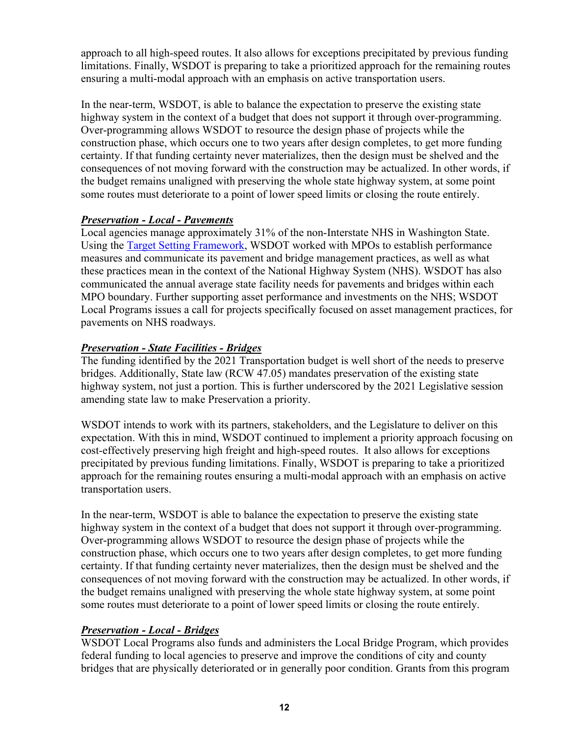approach to all high-speed routes. It also allows for exceptions precipitated by previous funding limitations. Finally, WSDOT is preparing to take a prioritized approach for the remaining routes ensuring a multi-modal approach with an emphasis on active transportation users.

In the near-term, WSDOT, is able to balance the expectation to preserve the existing state highway system in the context of a budget that does not support it through over-programming. Over-programming allows WSDOT to resource the design phase of projects while the construction phase, which occurs one to two years after design completes, to get more funding certainty. If that funding certainty never materializes, then the design must be shelved and the consequences of not moving forward with the construction may be actualized. In other words, if the budget remains unaligned with preserving the whole state highway system, at some point some routes must deteriorate to a point of lower speed limits or closing the route entirely.

#### *Preservation - Local - Pavements*

Local agencies manage approximately 31% of the non-Interstate NHS in Washington State. Using the Target Setting Framework, WSDOT worked with MPOs to establish performance measures and communicate its pavement and bridge management practices, as well as what these practices mean in the context of the National Highway System (NHS). WSDOT has also communicated the annual average state facility needs for pavements and bridges within each MPO boundary. Further supporting asset performance and investments on the NHS; WSDOT Local Programs issues a call for projects specifically focused on asset management practices, for pavements on NHS roadways.

#### *Preservation - State Facilities - Bridges*

The funding identified by the 2021 Transportation budget is well short of the needs to preserve bridges. Additionally, State law (RCW 47.05) mandates preservation of the existing state highway system, not just a portion. This is further underscored by the 2021 Legislative session amending state law to make Preservation a priority.

WSDOT intends to work with its partners, stakeholders, and the Legislature to deliver on this expectation. With this in mind, WSDOT continued to implement a priority approach focusing on cost-effectively preserving high freight and high-speed routes. It also allows for exceptions precipitated by previous funding limitations. Finally, WSDOT is preparing to take a prioritized approach for the remaining routes ensuring a multi-modal approach with an emphasis on active transportation users.

In the near-term, WSDOT is able to balance the expectation to preserve the existing state highway system in the context of a budget that does not support it through over-programming. Over-programming allows WSDOT to resource the design phase of projects while the construction phase, which occurs one to two years after design completes, to get more funding certainty. If that funding certainty never materializes, then the design must be shelved and the consequences of not moving forward with the construction may be actualized. In other words, if the budget remains unaligned with preserving the whole state highway system, at some point some routes must deteriorate to a point of lower speed limits or closing the route entirely.

#### *Preservation - Local - Bridges*

WSDOT Local Programs also funds and administers the Local Bridge Program, which provides federal funding to local agencies to preserve and improve the conditions of city and county bridges that are physically deteriorated or in generally poor condition. Grants from this program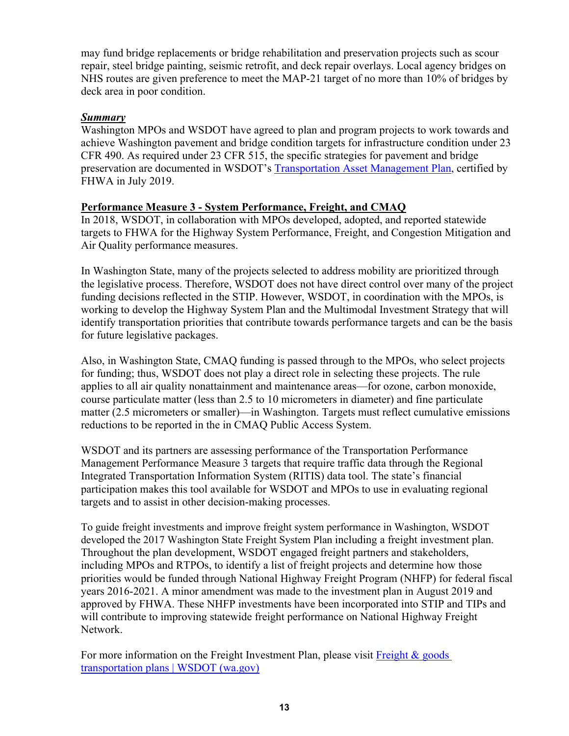may fund bridge replacements or bridge rehabilitation and preservation projects such as scour repair, steel bridge painting, seismic retrofit, and deck repair overlays. Local agency bridges on NHS routes are given preference to meet the MAP-21 target of no more than 10% of bridges by deck area in poor condition.

#### *Summary*

Washington MPOs and WSDOT have agreed to plan and program projects to work towards and achieve Washington pavement and bridge condition targets for infrastructure condition under 23 CFR 490. As required under 23 CFR 515, the specific strategies for pavement and bridge preservation are documented in WSDOT's Transportation Asset Management Plan, certified by FHWA in July 2019.

#### **Performance Measure 3 - System Performance, Freight, and CMAQ**

In 2018, WSDOT, in collaboration with MPOs developed, adopted, and reported statewide targets to FHWA for the Highway System Performance, Freight, and Congestion Mitigation and Air Quality performance measures.

In Washington State, many of the projects selected to address mobility are prioritized through the legislative process. Therefore, WSDOT does not have direct control over many of the project funding decisions reflected in the STIP. However, WSDOT, in coordination with the MPOs, is working to develop the Highway System Plan and the Multimodal Investment Strategy that will identify transportation priorities that contribute towards performance targets and can be the basis for future legislative packages.

Also, in Washington State, CMAQ funding is passed through to the MPOs, who select projects for funding; thus, WSDOT does not play a direct role in selecting these projects. The rule applies to all air quality nonattainment and maintenance areas—for ozone, carbon monoxide, course particulate matter (less than 2.5 to 10 micrometers in diameter) and fine particulate matter (2.5 micrometers or smaller)—in Washington. Targets must reflect cumulative emissions reductions to be reported in the in CMAQ Public Access System.

WSDOT and its partners are assessing performance of the Transportation Performance Management Performance Measure 3 targets that require traffic data through the Regional Integrated Transportation Information System (RITIS) data tool. The state's financial participation makes this tool available for WSDOT and MPOs to use in evaluating regional targets and to assist in other decision-making processes.

To guide freight investments and improve freight system performance in Washington, WSDOT developed the 2017 Washington State Freight System Plan including a freight investment plan. Throughout the plan development, WSDOT engaged freight partners and stakeholders, including MPOs and RTPOs, to identify a list of freight projects and determine how those priorities would be funded through National Highway Freight Program (NHFP) for federal fiscal years 2016-2021. A minor amendment was made to the investment plan in August 2019 and approved by FHWA. These NHFP investments have been incorporated into STIP and TIPs and will contribute to improving statewide freight performance on National Highway Freight Network.

For more information on the Freight Investment Plan, please visit Freight & goods transportation plans | WSDOT (wa.gov)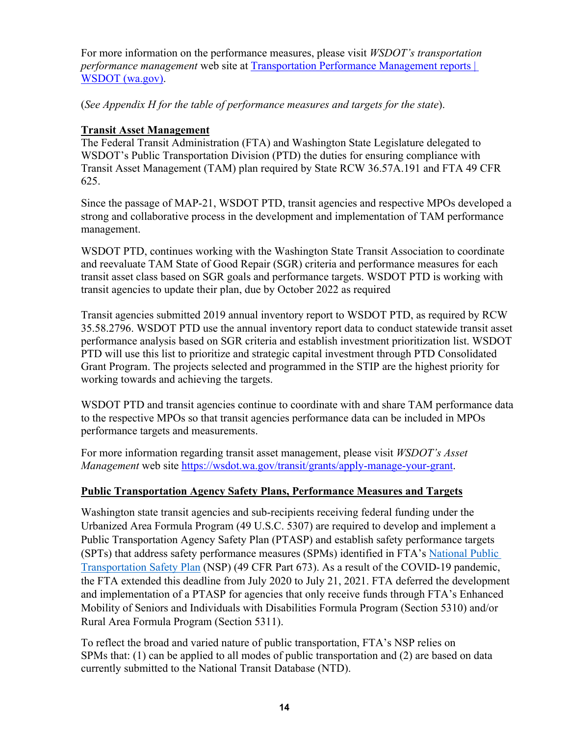For more information on the performance measures, please visit *WSDOT's transportation performance management* web site at Transportation Performance Management reports | WSDOT (wa.gov).

(*See Appendix H for the table of performance measures and targets for the state*).

### **Transit Asset Management**

The Federal Transit Administration (FTA) and Washington State Legislature delegated to WSDOT's Public Transportation Division (PTD) the duties for ensuring compliance with Transit Asset Management (TAM) plan required by State RCW 36.57A.191 and FTA 49 CFR 625.

Since the passage of MAP-21, WSDOT PTD, transit agencies and respective MPOs developed a strong and collaborative process in the development and implementation of TAM performance management.

WSDOT PTD, continues working with the Washington State Transit Association to coordinate and reevaluate TAM State of Good Repair (SGR) criteria and performance measures for each transit asset class based on SGR goals and performance targets. WSDOT PTD is working with transit agencies to update their plan, due by October 2022 as required

Transit agencies submitted 2019 annual inventory report to WSDOT PTD, as required by RCW 35.58.2796. WSDOT PTD use the annual inventory report data to conduct statewide transit asset performance analysis based on SGR criteria and establish investment prioritization list. WSDOT PTD will use this list to prioritize and strategic capital investment through PTD Consolidated Grant Program. The projects selected and programmed in the STIP are the highest priority for working towards and achieving the targets.

WSDOT PTD and transit agencies continue to coordinate with and share TAM performance data to the respective MPOs so that transit agencies performance data can be included in MPOs performance targets and measurements.

For more information regarding transit asset management, please visit *WSDOT's Asset Management* web site [https://wsdot.wa.gov/transit/grants/apply-manage-your-grant.](https://wsdot.wa.gov/transit/grants/apply-manage-your-grant)

### **Public Transportation Agency Safety Plans, Performance Measures and Targets**

Washington state transit agencies and sub-recipients receiving federal funding under the Urbanized Area Formula Program (49 U.S.C. 5307) are required to develop and implement a Public Transportation Agency Safety Plan (PTASP) and establish safety performance targets (SPTs) that address safety performance measures (SPMs) identified in FTA's National Public Transportation Safety Plan (NSP) (49 CFR Part 673). As a result of the COVID-19 pandemic, the FTA extended this deadline from July 2020 to July 21, 2021. FTA deferred the development and implementation of a PTASP for agencies that only receive funds through FTA's Enhanced Mobility of Seniors and Individuals with Disabilities Formula Program (Section 5310) and/or Rural Area Formula Program (Section 5311).

To reflect the broad and varied nature of public transportation, FTA's NSP relies on SPMs that: (1) can be applied to all modes of public transportation and (2) are based on data currently submitted to the National Transit Database (NTD).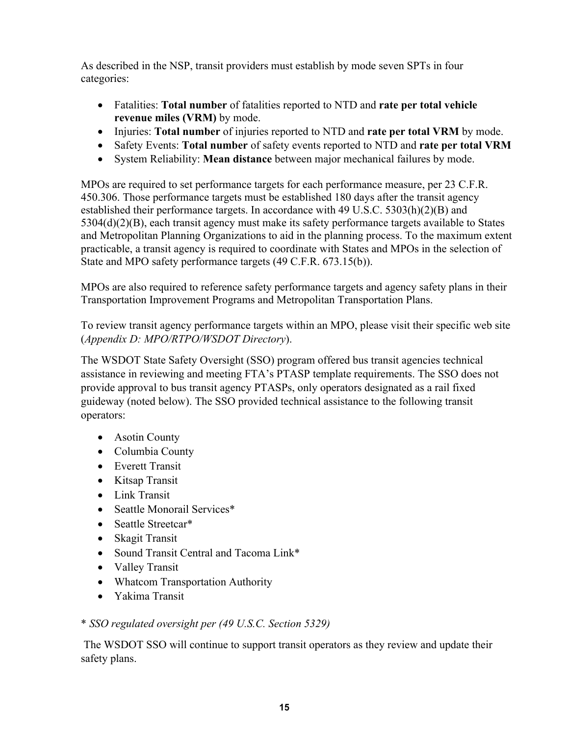As described in the NSP, transit providers must establish by mode seven SPTs in four categories:

- Fatalities: **Total number** of fatalities reported to NTD and **rate per total vehicle revenue miles (VRM)** by mode.
- Injuries: **Total number** of injuries reported to NTD and **rate per total VRM** by mode.
- Safety Events: **Total number** of safety events reported to NTD and **rate per total VRM**
- System Reliability: **Mean distance** between major mechanical failures by mode.

MPOs are required to set performance targets for each performance measure, per 23 C.F.R. 450.306. Those performance targets must be established 180 days after the transit agency established their performance targets. In accordance with 49 U.S.C. 5303(h)(2)(B) and 5304(d)(2)(B), each transit agency must make its safety performance targets available to States and Metropolitan Planning Organizations to aid in the planning process. To the maximum extent practicable, a transit agency is required to coordinate with States and MPOs in the selection of State and MPO safety performance targets (49 C.F.R. 673.15(b)).

MPOs are also required to reference safety performance targets and agency safety plans in their Transportation Improvement Programs and Metropolitan Transportation Plans.

To review transit agency performance targets within an MPO, please visit their specific web site (*Appendix D: MPO/RTPO/WSDOT Directory*).

The WSDOT State Safety Oversight (SSO) program offered bus transit agencies technical assistance in reviewing and meeting FTA's PTASP template requirements. The SSO does not provide approval to bus transit agency PTASPs, only operators designated as a rail fixed guideway (noted below). The SSO provided technical assistance to the following transit operators:

- Asotin County
- Columbia County
- Everett Transit
- Kitsap Transit
- Link Transit
- Seattle Monorail Services\*
- Seattle Streetcar\*
- Skagit Transit
- Sound Transit Central and Tacoma Link\*
- Valley Transit
- Whatcom Transportation Authority
- Yakima Transit

#### \* *SSO regulated oversight per (49 U.S.C. Section 5329)*

 safety plans. The WSDOT SSO will continue to support transit operators as they review and update their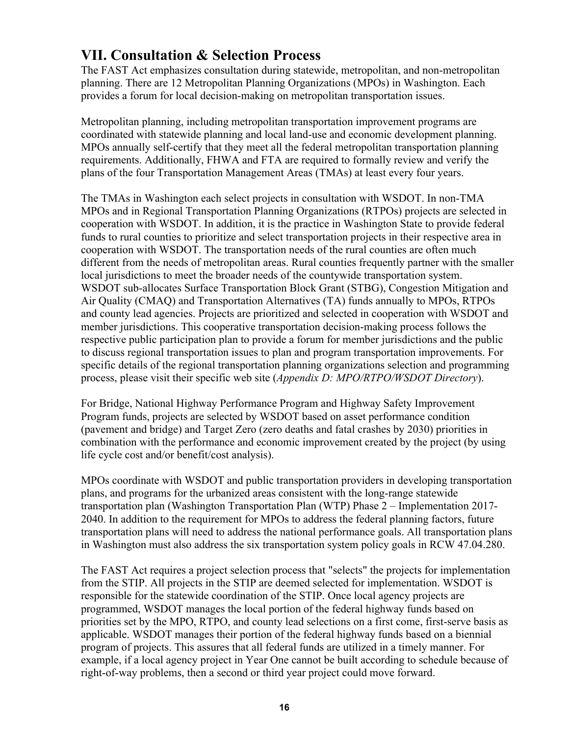## **VII. Consultation & Selection Process**

The FAST Act emphasizes consultation during statewide, metropolitan, and non-metropolitan planning. There are 12 Metropolitan Planning Organizations (MPOs) in Washington. Each provides a forum for local decision-making on metropolitan transportation issues.

Metropolitan planning, including metropolitan transportation improvement programs are coordinated with statewide planning and local land-use and economic development planning. MPOs annually self-certify that they meet all the federal metropolitan transportation planning requirements. Additionally, FHWA and FTA are required to formally review and verify the plans of the four Transportation Management Areas (TMAs) at least every four years.

The TMAs in Washington each select projects in consultation with WSDOT. In non-TMA MPOs and in Regional Transportation Planning Organizations (RTPOs) projects are selected in cooperation with WSDOT. In addition, it is the practice in Washington State to provide federal funds to rural counties to prioritize and select transportation projects in their respective area in cooperation with WSDOT. The transportation needs of the rural counties are often much different from the needs of metropolitan areas. Rural counties frequently partner with the smaller local jurisdictions to meet the broader needs of the countywide transportation system. WSDOT sub-allocates Surface Transportation Block Grant (STBG), Congestion Mitigation and Air Quality (CMAQ) and Transportation Alternatives (TA) funds annually to MPOs, RTPOs and county lead agencies. Projects are prioritized and selected in cooperation with WSDOT and member jurisdictions. This cooperative transportation decision-making process follows the respective public participation plan to provide a forum for member jurisdictions and the public to discuss regional transportation issues to plan and program transportation improvements. For specific details of the regional transportation planning organizations selection and programming process, please visit their specific web site (*Appendix D: MPO/RTPO/WSDOT Directory*).

For Bridge, National Highway Performance Program and Highway Safety Improvement Program funds, projects are selected by WSDOT based on asset performance condition (pavement and bridge) and Target Zero (zero deaths and fatal crashes by 2030) priorities in combination with the performance and economic improvement created by the project (by using life cycle cost and/or benefit/cost analysis).

MPOs coordinate with WSDOT and public transportation providers in developing transportation plans, and programs for the urbanized areas consistent with the long-range statewide transportation plan (Washington Transportation Plan (WTP) Phase 2 – Implementation 2017- 2040. In addition to the requirement for MPOs to address the federal planning factors, future transportation plans will need to address the national performance goals. All transportation plans in Washington must also address the six transportation system policy goals in RCW 47.04.280.

The FAST Act requires a project selection process that "selects" the projects for implementation from the STIP. All projects in the STIP are deemed selected for implementation. WSDOT is responsible for the statewide coordination of the STIP. Once local agency projects are programmed, WSDOT manages the local portion of the federal highway funds based on priorities set by the MPO, RTPO, and county lead selections on a first come, first-serve basis as applicable. WSDOT manages their portion of the federal highway funds based on a biennial program of projects. This assures that all federal funds are utilized in a timely manner. For example, if a local agency project in Year One cannot be built according to schedule because of right-of-way problems, then a second or third year project could move forward.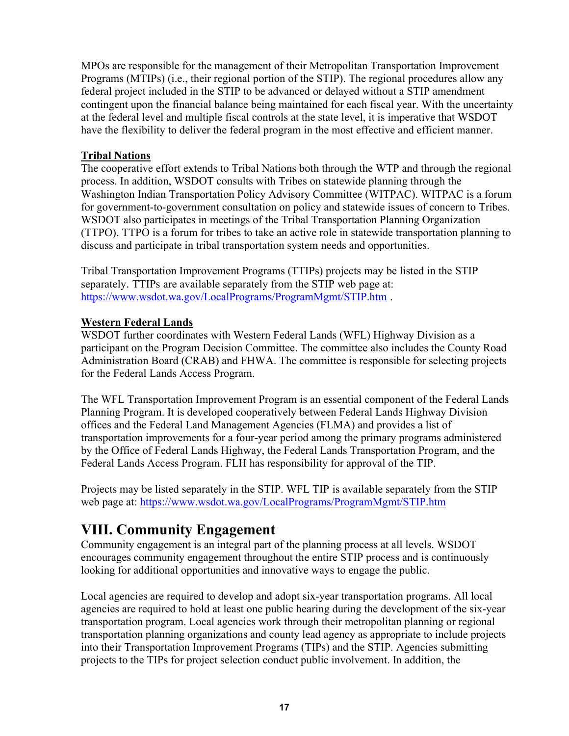MPOs are responsible for the management of their Metropolitan Transportation Improvement Programs (MTIPs) (i.e., their regional portion of the STIP). The regional procedures allow any federal project included in the STIP to be advanced or delayed without a STIP amendment contingent upon the financial balance being maintained for each fiscal year. With the uncertainty at the federal level and multiple fiscal controls at the state level, it is imperative that WSDOT have the flexibility to deliver the federal program in the most effective and efficient manner.

#### **Tribal Nations**

The cooperative effort extends to Tribal Nations both through the WTP and through the regional process. In addition, WSDOT consults with Tribes on statewide planning through the Washington Indian Transportation Policy Advisory Committee (WITPAC). WITPAC is a forum for government-to-government consultation on policy and statewide issues of concern to Tribes. WSDOT also participates in meetings of the Tribal Transportation Planning Organization (TTPO). TTPO is a forum for tribes to take an active role in statewide transportation planning to discuss and participate in tribal transportation system needs and opportunities.

 Tribal Transportation Improvement Programs (TTIPs) projects may be listed in the STIP separately. TTIPs are available separately from the STIP web page at: <https://www.wsdot.wa.gov/LocalPrograms/ProgramMgmt/STIP.htm>.

#### **Western Federal Lands**

WSDOT further coordinates with Western Federal Lands (WFL) Highway Division as a participant on the Program Decision Committee. The committee also includes the County Road Administration Board (CRAB) and FHWA. The committee is responsible for selecting projects for the Federal Lands Access Program.

The WFL Transportation Improvement Program is an essential component of the Federal Lands Planning Program. It is developed cooperatively between Federal Lands Highway Division offices and the Federal Land Management Agencies (FLMA) and provides a list of transportation improvements for a four-year period among the primary programs administered by the Office of Federal Lands Highway, the Federal Lands Transportation Program, and the Federal Lands Access Program. FLH has responsibility for approval of the TIP.

Projects may be listed separately in the STIP. WFL TIP is available separately from the STIP web page at: <https://www.wsdot.wa.gov/LocalPrograms/ProgramMgmt/STIP.htm>

# **VIII. Community Engagement**

Community engagement is an integral part of the planning process at all levels. WSDOT encourages community engagement throughout the entire STIP process and is continuously looking for additional opportunities and innovative ways to engage the public.

Local agencies are required to develop and adopt six-year transportation programs. All local agencies are required to hold at least one public hearing during the development of the six-year transportation program. Local agencies work through their metropolitan planning or regional transportation planning organizations and county lead agency as appropriate to include projects into their Transportation Improvement Programs (TIPs) and the STIP. Agencies submitting projects to the TIPs for project selection conduct public involvement. In addition, the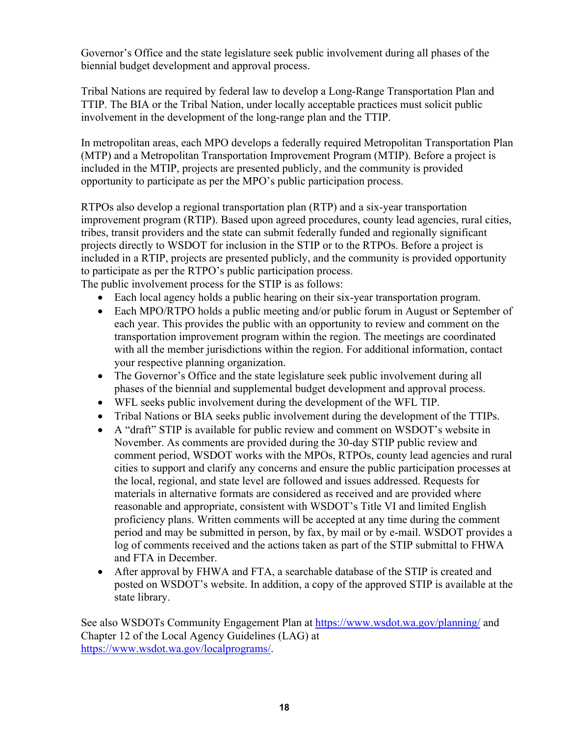Governor's Office and the state legislature seek public involvement during all phases of the biennial budget development and approval process.

Tribal Nations are required by federal law to develop a Long-Range Transportation Plan and TTIP. The BIA or the Tribal Nation, under locally acceptable practices must solicit public involvement in the development of the long-range plan and the TTIP.

In metropolitan areas, each MPO develops a federally required Metropolitan Transportation Plan (MTP) and a Metropolitan Transportation Improvement Program (MTIP). Before a project is included in the MTIP, projects are presented publicly, and the community is provided opportunity to participate as per the MPO's public participation process.

RTPOs also develop a regional transportation plan (RTP) and a six-year transportation improvement program (RTIP). Based upon agreed procedures, county lead agencies, rural cities, tribes, transit providers and the state can submit federally funded and regionally significant projects directly to WSDOT for inclusion in the STIP or to the RTPOs. Before a project is included in a RTIP, projects are presented publicly, and the community is provided opportunity to participate as per the RTPO's public participation process.

The public involvement process for the STIP is as follows:

- Each local agency holds a public hearing on their six-year transportation program.
- Each MPO/RTPO holds a public meeting and/or public forum in August or September of each year. This provides the public with an opportunity to review and comment on the transportation improvement program within the region. The meetings are coordinated with all the member jurisdictions within the region. For additional information, contact your respective planning organization.
- The Governor's Office and the state legislature seek public involvement during all phases of the biennial and supplemental budget development and approval process.
- WFL seeks public involvement during the development of the WFL TIP.
- Tribal Nations or BIA seeks public involvement during the development of the TTIPs.
- A "draft" STIP is available for public review and comment on WSDOT's website in November. As comments are provided during the 30-day STIP public review and comment period, WSDOT works with the MPOs, RTPOs, county lead agencies and rural cities to support and clarify any concerns and ensure the public participation processes at the local, regional, and state level are followed and issues addressed. Requests for materials in alternative formats are considered as received and are provided where reasonable and appropriate, consistent with WSDOT's Title VI and limited English proficiency plans. Written comments will be accepted at any time during the comment period and may be submitted in person, by fax, by mail or by e-mail. WSDOT provides a log of comments received and the actions taken as part of the STIP submittal to FHWA and FTA in December.
- After approval by FHWA and FTA, a searchable database of the STIP is created and posted on WSDOT's website. In addition, a copy of the approved STIP is available at the state library.

See also WSDOTs Community Engagement Plan at [https://www.wsdot.wa.gov/planning/](https://www.wsdot.wa.gov/planning) and Chapter 12 of the Local Agency Guidelines (LAG) at <https://www.wsdot.wa.gov/localprograms>/.